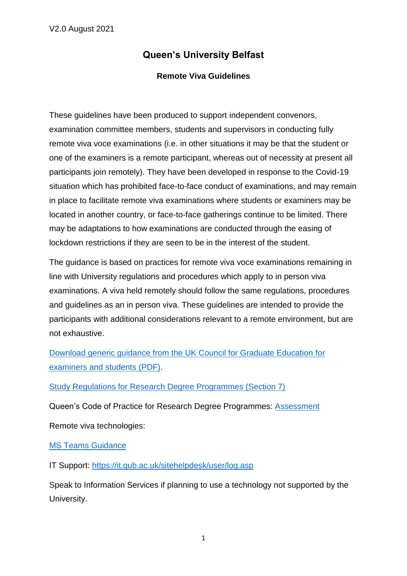# **Queen's University Belfast**

#### **Remote Viva Guidelines**

These guidelines have been produced to support independent convenors, examination committee members, students and supervisors in conducting fully remote viva voce examinations (i.e. in other situations it may be that the student or one of the examiners is a remote participant, whereas out of necessity at present all participants join remotely). They have been developed in response to the Covid-19 situation which has prohibited face-to-face conduct of examinations, and may remain in place to facilitate remote viva examinations where students or examiners may be located in another country, or face-to-face gatherings continue to be limited. There may be adaptations to how examinations are conducted through the easing of lockdown restrictions if they are seen to be in the interest of the student.

The guidance is based on practices for remote viva voce examinations remaining in line with University regulations and procedures which apply to in person viva examinations. A viva held remotely should follow the same regulations, procedures and guidelines as an in person viva. These guidelines are intended to provide the participants with additional considerations relevant to a remote environment, but are not exhaustive.

[Download generic guidance from the UK Council for Graduate Education for](http://www.ukcge.ac.uk/media/download.aspx?MediaId=2252)  [examiners and students](http://www.ukcge.ac.uk/media/download.aspx?MediaId=2252) (PDF).

[Study Regulations for Research Degree Programmes \(Section 7\)](http://www.qub.ac.uk/directorates/AcademicStudentAffairs/AcademicAffairs/GeneralRegulations/StudyRegulations/StudyRegulationsforResearchDegreeProgrammes/)

Queen's Code of Practice for Research Degree Programmes: [Assessment](http://www.qub.ac.uk/directorates/AcademicStudentAffairs/AcademicAffairs/ResearchDegreeProgrammes/Assessment/)

Remote viva technologies:

[MS Teams](https://qubstudentcloud.sharepoint.com/:w:/r/sites/Office365training/_layouts/15/Doc.aspx?sourcedoc=%7BC76692DE-DE9B-47DA-943C-1D762BCEE3A4%7D&file=Microsoft%20Teams.docx&action=default&mobileredirect=true) Guidance

IT Support:<https://it.qub.ac.uk/sitehelpdesk/user/log.asp>

Speak to Information Services if planning to use a technology not supported by the University.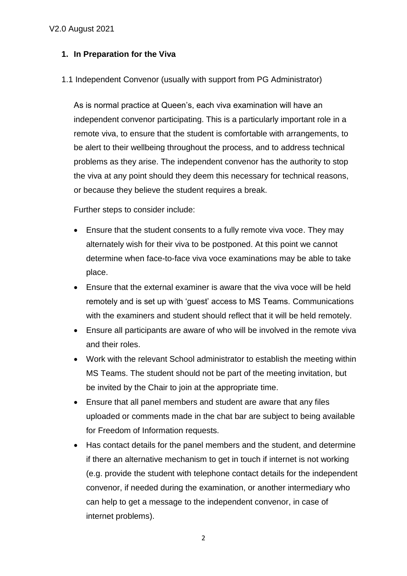# **1. In Preparation for the Viva**

1.1 Independent Convenor (usually with support from PG Administrator)

As is normal practice at Queen's, each viva examination will have an independent convenor participating. This is a particularly important role in a remote viva, to ensure that the student is comfortable with arrangements, to be alert to their wellbeing throughout the process, and to address technical problems as they arise. The independent convenor has the authority to stop the viva at any point should they deem this necessary for technical reasons, or because they believe the student requires a break.

Further steps to consider include:

- Ensure that the student consents to a fully remote viva voce. They may alternately wish for their viva to be postponed. At this point we cannot determine when face-to-face viva voce examinations may be able to take place.
- Ensure that the external examiner is aware that the viva voce will be held remotely and is set up with 'guest' access to MS Teams. Communications with the examiners and student should reflect that it will be held remotely.
- Ensure all participants are aware of who will be involved in the remote viva and their roles.
- Work with the relevant School administrator to establish the meeting within MS Teams. The student should not be part of the meeting invitation, but be invited by the Chair to join at the appropriate time.
- Ensure that all panel members and student are aware that any files uploaded or comments made in the chat bar are subject to being available for Freedom of Information requests.
- Has contact details for the panel members and the student, and determine if there an alternative mechanism to get in touch if internet is not working (e.g. provide the student with telephone contact details for the independent convenor, if needed during the examination, or another intermediary who can help to get a message to the independent convenor, in case of internet problems).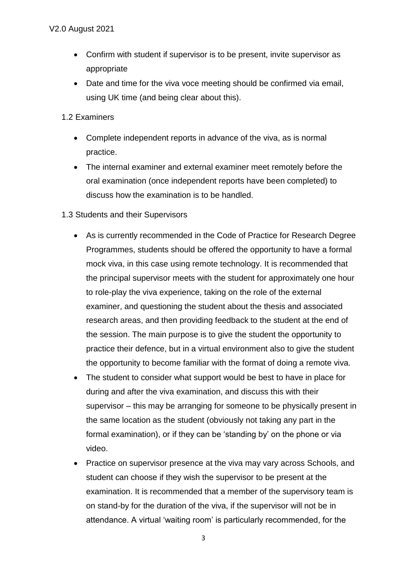- Confirm with student if supervisor is to be present, invite supervisor as appropriate
- Date and time for the viva voce meeting should be confirmed via email, using UK time (and being clear about this).
- 1.2 Examiners
	- Complete independent reports in advance of the viva, as is normal practice.
	- The internal examiner and external examiner meet remotely before the oral examination (once independent reports have been completed) to discuss how the examination is to be handled.
- 1.3 Students and their Supervisors
	- As is currently recommended in the Code of Practice for Research Degree Programmes, students should be offered the opportunity to have a formal mock viva, in this case using remote technology. It is recommended that the principal supervisor meets with the student for approximately one hour to role-play the viva experience, taking on the role of the external examiner, and questioning the student about the thesis and associated research areas, and then providing feedback to the student at the end of the session. The main purpose is to give the student the opportunity to practice their defence, but in a virtual environment also to give the student the opportunity to become familiar with the format of doing a remote viva.
	- The student to consider what support would be best to have in place for during and after the viva examination, and discuss this with their supervisor – this may be arranging for someone to be physically present in the same location as the student (obviously not taking any part in the formal examination), or if they can be 'standing by' on the phone or via video.
	- Practice on supervisor presence at the viva may vary across Schools, and student can choose if they wish the supervisor to be present at the examination. It is recommended that a member of the supervisory team is on stand-by for the duration of the viva, if the supervisor will not be in attendance. A virtual 'waiting room' is particularly recommended, for the

3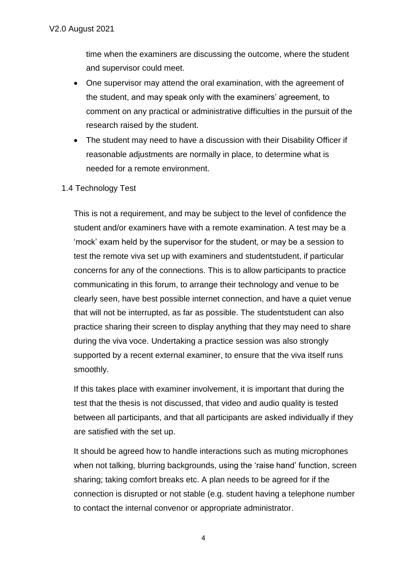time when the examiners are discussing the outcome, where the student and supervisor could meet.

- One supervisor may attend the oral examination, with the agreement of the student, and may speak only with the examiners' agreement, to comment on any practical or administrative difficulties in the pursuit of the research raised by the student.
- The student may need to have a discussion with their Disability Officer if reasonable adjustments are normally in place, to determine what is needed for a remote environment.
- 1.4 Technology Test

This is not a requirement, and may be subject to the level of confidence the student and/or examiners have with a remote examination. A test may be a 'mock' exam held by the supervisor for the student, or may be a session to test the remote viva set up with examiners and studentstudent, if particular concerns for any of the connections. This is to allow participants to practice communicating in this forum, to arrange their technology and venue to be clearly seen, have best possible internet connection, and have a quiet venue that will not be interrupted, as far as possible. The studentstudent can also practice sharing their screen to display anything that they may need to share during the viva voce. Undertaking a practice session was also strongly supported by a recent external examiner, to ensure that the viva itself runs smoothly.

If this takes place with examiner involvement, it is important that during the test that the thesis is not discussed, that video and audio quality is tested between all participants, and that all participants are asked individually if they are satisfied with the set up.

It should be agreed how to handle interactions such as muting microphones when not talking, blurring backgrounds, using the 'raise hand' function, screen sharing; taking comfort breaks etc. A plan needs to be agreed for if the connection is disrupted or not stable (e.g. student having a telephone number to contact the internal convenor or appropriate administrator.

4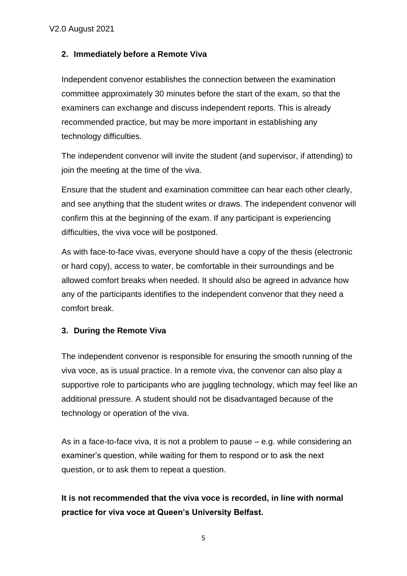## **2. Immediately before a Remote Viva**

Independent convenor establishes the connection between the examination committee approximately 30 minutes before the start of the exam, so that the examiners can exchange and discuss independent reports. This is already recommended practice, but may be more important in establishing any technology difficulties.

The independent convenor will invite the student (and supervisor, if attending) to join the meeting at the time of the viva.

Ensure that the student and examination committee can hear each other clearly, and see anything that the student writes or draws. The independent convenor will confirm this at the beginning of the exam. If any participant is experiencing difficulties, the viva voce will be postponed.

As with face-to-face vivas, everyone should have a copy of the thesis (electronic or hard copy), access to water, be comfortable in their surroundings and be allowed comfort breaks when needed. It should also be agreed in advance how any of the participants identifies to the independent convenor that they need a comfort break.

#### **3. During the Remote Viva**

The independent convenor is responsible for ensuring the smooth running of the viva voce, as is usual practice. In a remote viva, the convenor can also play a supportive role to participants who are juggling technology, which may feel like an additional pressure. A student should not be disadvantaged because of the technology or operation of the viva.

As in a face-to-face viva, it is not a problem to pause – e.g. while considering an examiner's question, while waiting for them to respond or to ask the next question, or to ask them to repeat a question.

**It is not recommended that the viva voce is recorded, in line with normal practice for viva voce at Queen's University Belfast.**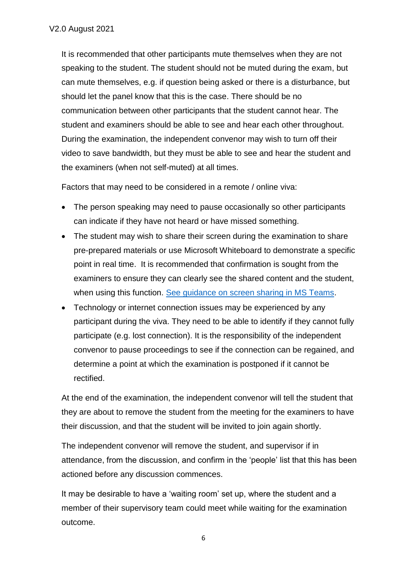It is recommended that other participants mute themselves when they are not speaking to the student. The student should not be muted during the exam, but can mute themselves, e.g. if question being asked or there is a disturbance, but should let the panel know that this is the case. There should be no communication between other participants that the student cannot hear. The student and examiners should be able to see and hear each other throughout. During the examination, the independent convenor may wish to turn off their video to save bandwidth, but they must be able to see and hear the student and the examiners (when not self-muted) at all times.

Factors that may need to be considered in a remote / online viva:

- The person speaking may need to pause occasionally so other participants can indicate if they have not heard or have missed something.
- The student may wish to share their screen during the examination to share pre-prepared materials or use Microsoft Whiteboard to demonstrate a specific point in real time. It is recommended that confirmation is sought from the examiners to ensure they can clearly see the shared content and the student, when using this function. [See guidance on screen sharing in MS Teams.](https://support.microsoft.com/en-us/office/share-content-in-a-meeting-in-teams-fcc2bf59-aecd-4481-8f99-ce55dd836ce8)
- Technology or internet connection issues may be experienced by any participant during the viva. They need to be able to identify if they cannot fully participate (e.g. lost connection). It is the responsibility of the independent convenor to pause proceedings to see if the connection can be regained, and determine a point at which the examination is postponed if it cannot be rectified.

At the end of the examination, the independent convenor will tell the student that they are about to remove the student from the meeting for the examiners to have their discussion, and that the student will be invited to join again shortly.

The independent convenor will remove the student, and supervisor if in attendance, from the discussion, and confirm in the 'people' list that this has been actioned before any discussion commences.

It may be desirable to have a 'waiting room' set up, where the student and a member of their supervisory team could meet while waiting for the examination outcome.